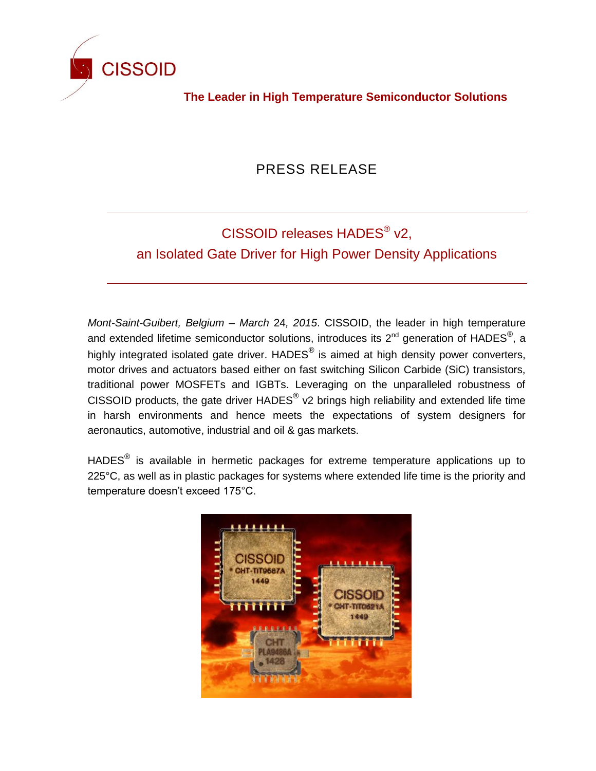

**The Leader in High Temperature Semiconductor Solutions**

## PRESS RELEASE

## CISSOID releases HADES<sup>®</sup> v2,

an Isolated Gate Driver for High Power Density Applications

*Mont-Saint-Guibert, Belgium – March* 24*, 2015*. CISSOID, the leader in high temperature and extended lifetime semiconductor solutions, introduces its 2<sup>nd</sup> generation of HADES<sup>®</sup>, a highly integrated isolated gate driver.  $HADES^®$  is aimed at high density power converters, motor drives and actuators based either on fast switching Silicon Carbide (SiC) transistors, traditional power MOSFETs and IGBTs. Leveraging on the unparalleled robustness of CISSOID products, the gate driver HADES $^{\circledast}$  v2 brings high reliability and extended life time in harsh environments and hence meets the expectations of system designers for aeronautics, automotive, industrial and oil & gas markets.

HADES $^{\circledR}$  is available in hermetic packages for extreme temperature applications up to 225°C, as well as in plastic packages for systems where extended life time is the priority and temperature doesn't exceed 175°C.

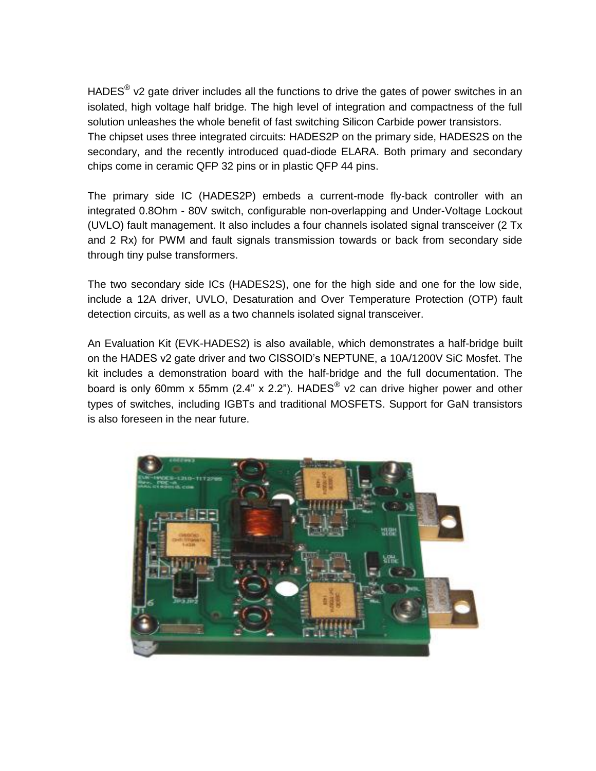HADES $^{\circledR}$  v2 gate driver includes all the functions to drive the gates of power switches in an isolated, high voltage half bridge. The high level of integration and compactness of the full solution unleashes the whole benefit of fast switching Silicon Carbide power transistors. The chipset uses three integrated circuits: HADES2P on the primary side, HADES2S on the secondary, and the recently introduced quad-diode ELARA. Both primary and secondary chips come in ceramic QFP 32 pins or in plastic QFP 44 pins.

The primary side IC (HADES2P) embeds a current-mode fly-back controller with an integrated 0.8Ohm - 80V switch, configurable non-overlapping and Under-Voltage Lockout (UVLO) fault management. It also includes a four channels isolated signal transceiver (2 Tx and 2 Rx) for PWM and fault signals transmission towards or back from secondary side through tiny pulse transformers.

The two secondary side ICs (HADES2S), one for the high side and one for the low side, include a 12A driver, UVLO, Desaturation and Over Temperature Protection (OTP) fault detection circuits, as well as a two channels isolated signal transceiver.

An Evaluation Kit (EVK-HADES2) is also available, which demonstrates a half-bridge built on the HADES v2 gate driver and two CISSOID's NEPTUNE, a 10A/1200V SiC Mosfet. The kit includes a demonstration board with the half-bridge and the full documentation. The board is only 60mm x 55mm (2.4" x 2.2"). HADES $^{\circledR}$  v2 can drive higher power and other types of switches, including IGBTs and traditional MOSFETS. Support for GaN transistors is also foreseen in the near future.